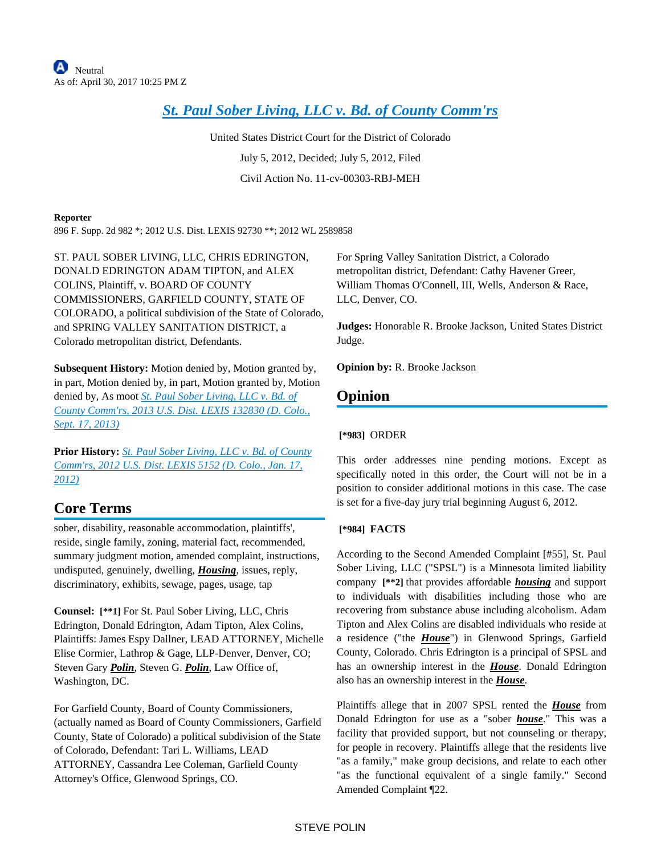# *[St. Paul Sober Living, LLC v. Bd. of County Comm'rs](https://advance.lexis.com/api/document?collection=cases&id=urn:contentItem:5621-CC21-F04C-V2NC-00000-00&context=)*

United States District Court for the District of Colorado July 5, 2012, Decided; July 5, 2012, Filed Civil Action No. 11-cv-00303-RBJ-MEH

#### **Reporter**

896 F. Supp. 2d 982 \*; 2012 U.S. Dist. LEXIS 92730 \*\*; 2012 WL 2589858

ST. PAUL SOBER LIVING, LLC, CHRIS EDRINGTON, DONALD EDRINGTON ADAM TIPTON, and ALEX COLINS, Plaintiff, v. BOARD OF COUNTY COMMISSIONERS, GARFIELD COUNTY, STATE OF COLORADO, a political subdivision of the State of Colorado, and SPRING VALLEY SANITATION DISTRICT, a Colorado metropolitan district, Defendants.

**Subsequent History:** Motion denied by, Motion granted by, in part, Motion denied by, in part, Motion granted by, Motion denied by, As moot *[St. Paul Sober Living, LLC v. Bd. of](https://advance.lexis.com/api/document?collection=cases&id=urn:contentItem:59CM-ST31-F04C-V0KN-00000-00&context=)  [County Comm'rs, 2013 U.S. Dist. LEXIS 132830 \(D. Colo.,](https://advance.lexis.com/api/document?collection=cases&id=urn:contentItem:59CM-ST31-F04C-V0KN-00000-00&context=)  [Sept. 17, 2013\)](https://advance.lexis.com/api/document?collection=cases&id=urn:contentItem:59CM-ST31-F04C-V0KN-00000-00&context=)*

**Prior History:** *[St. Paul Sober Living, LLC v. Bd. of County](https://advance.lexis.com/api/document?collection=cases&id=urn:contentItem:54RS-4291-F04C-V03D-00000-00&context=)  [Comm'rs, 2012 U.S. Dist. LEXIS 5152 \(D. Colo., Jan. 17,](https://advance.lexis.com/api/document?collection=cases&id=urn:contentItem:54RS-4291-F04C-V03D-00000-00&context=)  [2012\)](https://advance.lexis.com/api/document?collection=cases&id=urn:contentItem:54RS-4291-F04C-V03D-00000-00&context=)*

## **Core Terms**

sober, disability, reasonable accommodation, plaintiffs', reside, single family, zoning, material fact, recommended, summary judgment motion, amended complaint, instructions, undisputed, genuinely, dwelling, *Housing*, issues, reply, discriminatory, exhibits, sewage, pages, usage, tap

**Counsel: [\*\*1]** For St. Paul Sober Living, LLC, Chris Edrington, Donald Edrington, Adam Tipton, Alex Colins, Plaintiffs: James Espy Dallner, LEAD ATTORNEY, Michelle Elise Cormier, Lathrop & Gage, LLP-Denver, Denver, CO; Steven Gary *Polin*, Steven G. *Polin*, Law Office of, Washington, DC.

For Garfield County, Board of County Commissioners, (actually named as Board of County Commissioners, Garfield County, State of Colorado) a political subdivision of the State of Colorado, Defendant: Tari L. Williams, LEAD ATTORNEY, Cassandra Lee Coleman, Garfield County Attorney's Office, Glenwood Springs, CO.

For Spring Valley Sanitation District, a Colorado metropolitan district, Defendant: Cathy Havener Greer, William Thomas O'Connell, III, Wells, Anderson & Race, LLC, Denver, CO.

**Judges:** Honorable R. Brooke Jackson, United States District Judge.

**Opinion by:** R. Brooke Jackson

## **Opinion**

## **[\*983]** ORDER

This order addresses nine pending motions. Except as specifically noted in this order, the Court will not be in a position to consider additional motions in this case. The case is set for a five-day jury trial beginning August 6, 2012.

## **[\*984] FACTS**

According to the Second Amended Complaint [#55], St. Paul Sober Living, LLC ("SPSL") is a Minnesota limited liability company **[\*\*2]** that provides affordable *housing* and support to individuals with disabilities including those who are recovering from substance abuse including alcoholism. Adam Tipton and Alex Colins are disabled individuals who reside at a residence ("the *House*") in Glenwood Springs, Garfield County, Colorado. Chris Edrington is a principal of SPSL and has an ownership interest in the *House*. Donald Edrington also has an ownership interest in the *House*.

Plaintiffs allege that in 2007 SPSL rented the *House* from Donald Edrington for use as a "sober *house*." This was a facility that provided support, but not counseling or therapy, for people in recovery. Plaintiffs allege that the residents live "as a family," make group decisions, and relate to each other "as the functional equivalent of a single family." Second Amended Complaint ¶22.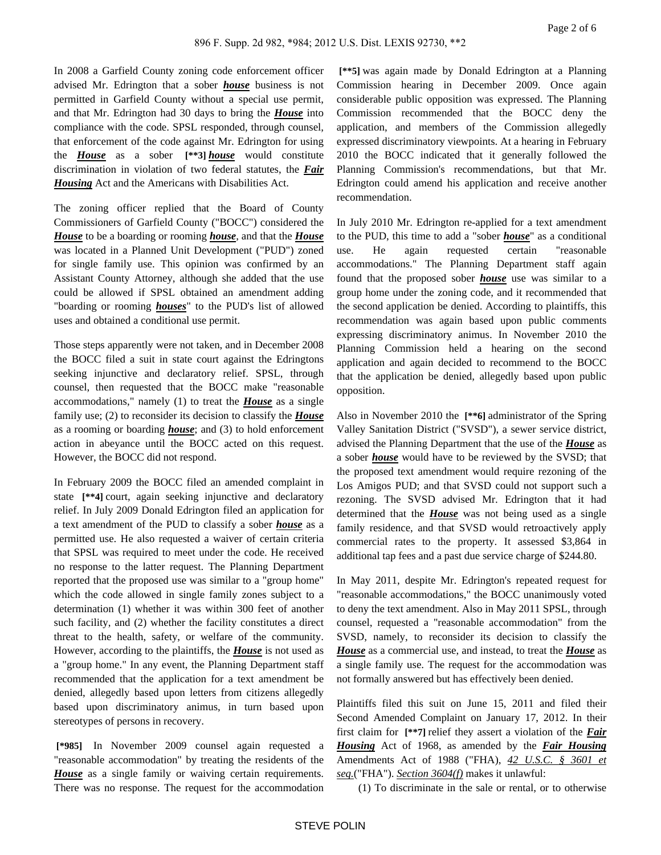In 2008 a Garfield County zoning code enforcement officer advised Mr. Edrington that a sober *house* business is not permitted in Garfield County without a special use permit, and that Mr. Edrington had 30 days to bring the *House* into compliance with the code. SPSL responded, through counsel, that enforcement of the code against Mr. Edrington for using the *House* as a sober **[\*\*3]** *house* would constitute discrimination in violation of two federal statutes, the *Fair*  **Housing** Act and the Americans with Disabilities Act.

The zoning officer replied that the Board of County Commissioners of Garfield County ("BOCC") considered the *House* to be a boarding or rooming *house*, and that the *House* was located in a Planned Unit Development ("PUD") zoned for single family use. This opinion was confirmed by an Assistant County Attorney, although she added that the use could be allowed if SPSL obtained an amendment adding "boarding or rooming *houses*" to the PUD's list of allowed uses and obtained a conditional use permit.

Those steps apparently were not taken, and in December 2008 the BOCC filed a suit in state court against the Edringtons seeking injunctive and declaratory relief. SPSL, through counsel, then requested that the BOCC make "reasonable accommodations," namely (1) to treat the *House* as a single family use; (2) to reconsider its decision to classify the *House* as a rooming or boarding *house*; and (3) to hold enforcement action in abeyance until the BOCC acted on this request. However, the BOCC did not respond.

In February 2009 the BOCC filed an amended complaint in state **[\*\*4]** court, again seeking injunctive and declaratory relief. In July 2009 Donald Edrington filed an application for a text amendment of the PUD to classify a sober *house* as a permitted use. He also requested a waiver of certain criteria that SPSL was required to meet under the code. He received no response to the latter request. The Planning Department reported that the proposed use was similar to a "group home" which the code allowed in single family zones subject to a determination (1) whether it was within 300 feet of another such facility, and (2) whether the facility constitutes a direct threat to the health, safety, or welfare of the community. However, according to the plaintiffs, the *House* is not used as a "group home." In any event, the Planning Department staff recommended that the application for a text amendment be denied, allegedly based upon letters from citizens allegedly based upon discriminatory animus, in turn based upon stereotypes of persons in recovery.

 **[\*985]** In November 2009 counsel again requested a "reasonable accommodation" by treating the residents of the *House* as a single family or waiving certain requirements. There was no response. The request for the accommodation

 **[\*\*5]** was again made by Donald Edrington at a Planning Commission hearing in December 2009. Once again considerable public opposition was expressed. The Planning Commission recommended that the BOCC deny the application, and members of the Commission allegedly expressed discriminatory viewpoints. At a hearing in February 2010 the BOCC indicated that it generally followed the Planning Commission's recommendations, but that Mr. Edrington could amend his application and receive another recommendation.

In July 2010 Mr. Edrington re-applied for a text amendment to the PUD, this time to add a "sober *house*" as a conditional use. He again requested certain "reasonable accommodations." The Planning Department staff again found that the proposed sober *house* use was similar to a group home under the zoning code, and it recommended that the second application be denied. According to plaintiffs, this recommendation was again based upon public comments expressing discriminatory animus. In November 2010 the Planning Commission held a hearing on the second application and again decided to recommend to the BOCC that the application be denied, allegedly based upon public opposition.

Also in November 2010 the **[\*\*6]** administrator of the Spring Valley Sanitation District ("SVSD"), a sewer service district, advised the Planning Department that the use of the *House* as a sober *house* would have to be reviewed by the SVSD; that the proposed text amendment would require rezoning of the Los Amigos PUD; and that SVSD could not support such a rezoning. The SVSD advised Mr. Edrington that it had determined that the *House* was not being used as a single family residence, and that SVSD would retroactively apply commercial rates to the property. It assessed \$3,864 in additional tap fees and a past due service charge of \$244.80.

In May 2011, despite Mr. Edrington's repeated request for "reasonable accommodations," the BOCC unanimously voted to deny the text amendment. Also in May 2011 SPSL, through counsel, requested a "reasonable accommodation" from the SVSD, namely, to reconsider its decision to classify the *House* as a commercial use, and instead, to treat the *House* as a single family use. The request for the accommodation was not formally answered but has effectively been denied.

Plaintiffs filed this suit on June 15, 2011 and filed their Second Amended Complaint on January 17, 2012. In their first claim for **[\*\*7]** relief they assert a violation of the *Fair Housing* Act of 1968, as amended by the *Fair Housing* Amendments Act of 1988 ("FHA), *42 U.S.C. § 3601 et seq.*("FHA"). *Section 3604(f)* makes it unlawful:

(1) To discriminate in the sale or rental, or to otherwise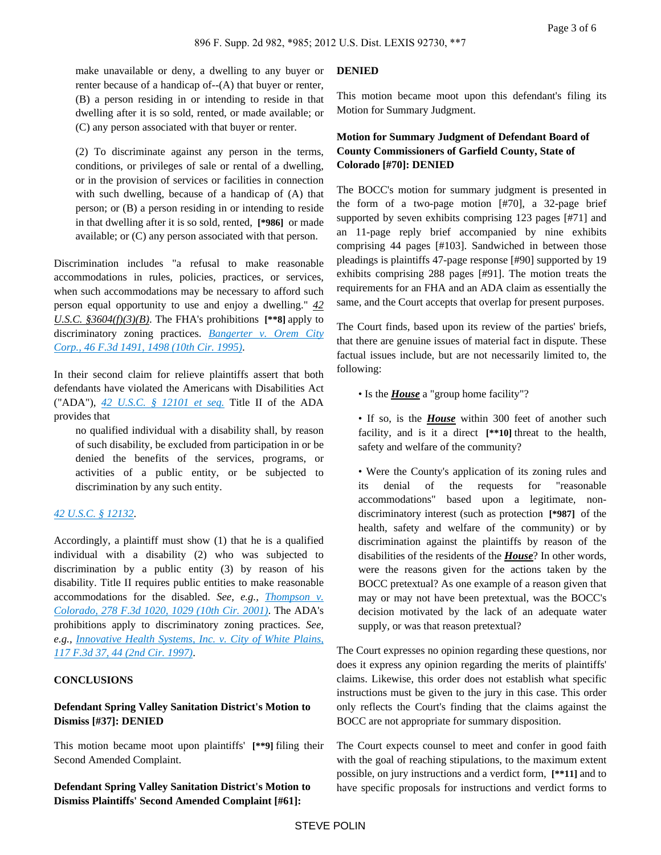make unavailable or deny, a dwelling to any buyer or renter because of a handicap of--(A) that buyer or renter, (B) a person residing in or intending to reside in that dwelling after it is so sold, rented, or made available; or (C) any person associated with that buyer or renter.

(2) To discriminate against any person in the terms, conditions, or privileges of sale or rental of a dwelling, or in the provision of services or facilities in connection with such dwelling, because of a handicap of (A) that person; or (B) a person residing in or intending to reside in that dwelling after it is so sold, rented, **[\*986]** or made available; or (C) any person associated with that person.

Discrimination includes "a refusal to make reasonable accommodations in rules, policies, practices, or services, when such accommodations may be necessary to afford such person equal opportunity to use and enjoy a dwelling." *42 U.S.C. §3604(f)(3)(B)*. The FHA's prohibitions **[\*\*8]** apply to discriminatory zoning practices. *[Bangerter v. Orem City](https://advance.lexis.com/api/document?collection=cases&id=urn:contentItem:3S4X-H8W0-001T-D4WG-00000-00&context=)  [Corp., 46 F.3d 1491, 1498 \(10th Cir. 1995\)](https://advance.lexis.com/api/document?collection=cases&id=urn:contentItem:3S4X-H8W0-001T-D4WG-00000-00&context=)*.

In their second claim for relieve plaintiffs assert that both defendants have violated the Americans with Disabilities Act ("ADA"), *[42 U.S.C. § 12101 et seq.](https://advance.lexis.com/api/document?collection=statutes-legislation&id=urn:contentItem:4YF7-GP51-NRF4-40G1-00000-00&context=)* Title II of the ADA provides that

no qualified individual with a disability shall, by reason of such disability, be excluded from participation in or be denied the benefits of the services, programs, or activities of a public entity, or be subjected to discrimination by any such entity.

### *[42 U.S.C. § 12132](https://advance.lexis.com/api/document?collection=statutes-legislation&id=urn:contentItem:4YF7-GN41-NRF4-40JX-00000-00&context=)*.

Accordingly, a plaintiff must show (1) that he is a qualified individual with a disability (2) who was subjected to discrimination by a public entity (3) by reason of his disability. Title II requires public entities to make reasonable accommodations for the disabled. *See, e.g., [Thompson v.](https://advance.lexis.com/api/document?collection=cases&id=urn:contentItem:445S-Y940-0038-X387-00000-00&context=)  [Colorado, 278 F.3d 1020, 1029 \(10th Cir. 2001\)](https://advance.lexis.com/api/document?collection=cases&id=urn:contentItem:445S-Y940-0038-X387-00000-00&context=)*. The ADA's prohibitions apply to discriminatory zoning practices. *See, e.g., [Innovative Health Systems, Inc. v. City of White Plains,](https://advance.lexis.com/api/document?collection=cases&id=urn:contentItem:3S4X-FSV0-00B1-D295-00000-00&context=)  [117 F.3d 37, 44 \(2nd Cir. 1997\)](https://advance.lexis.com/api/document?collection=cases&id=urn:contentItem:3S4X-FSV0-00B1-D295-00000-00&context=)*.

#### **CONCLUSIONS**

## **Defendant Spring Valley Sanitation District's Motion to Dismiss [#37]: DENIED**

This motion became moot upon plaintiffs' **[\*\*9]** filing their Second Amended Complaint.

**Defendant Spring Valley Sanitation District's Motion to Dismiss Plaintiffs' Second Amended Complaint [#61]:** 

#### **DENIED**

This motion became moot upon this defendant's filing its Motion for Summary Judgment.

## **Motion for Summary Judgment of Defendant Board of County Commissioners of Garfield County, State of Colorado [#70]: DENIED**

The BOCC's motion for summary judgment is presented in the form of a two-page motion [#70], a 32-page brief supported by seven exhibits comprising 123 pages [#71] and an 11-page reply brief accompanied by nine exhibits comprising 44 pages [#103]. Sandwiched in between those pleadings is plaintiffs 47-page response [#90] supported by 19 exhibits comprising 288 pages [#91]. The motion treats the requirements for an FHA and an ADA claim as essentially the same, and the Court accepts that overlap for present purposes.

The Court finds, based upon its review of the parties' briefs, that there are genuine issues of material fact in dispute. These factual issues include, but are not necessarily limited to, the following:

- Is the *House* a "group home facility"?
- If so, is the *House* within 300 feet of another such facility, and is it a direct **[\*\*10]** threat to the health, safety and welfare of the community?

• Were the County's application of its zoning rules and its denial of the requests for "reasonable accommodations" based upon a legitimate, nondiscriminatory interest (such as protection **[\*987]** of the health, safety and welfare of the community) or by discrimination against the plaintiffs by reason of the disabilities of the residents of the *House*? In other words, were the reasons given for the actions taken by the BOCC pretextual? As one example of a reason given that may or may not have been pretextual, was the BOCC's decision motivated by the lack of an adequate water supply, or was that reason pretextual?

The Court expresses no opinion regarding these questions, nor does it express any opinion regarding the merits of plaintiffs' claims. Likewise, this order does not establish what specific instructions must be given to the jury in this case. This order only reflects the Court's finding that the claims against the BOCC are not appropriate for summary disposition.

The Court expects counsel to meet and confer in good faith with the goal of reaching stipulations, to the maximum extent possible, on jury instructions and a verdict form, **[\*\*11]** and to have specific proposals for instructions and verdict forms to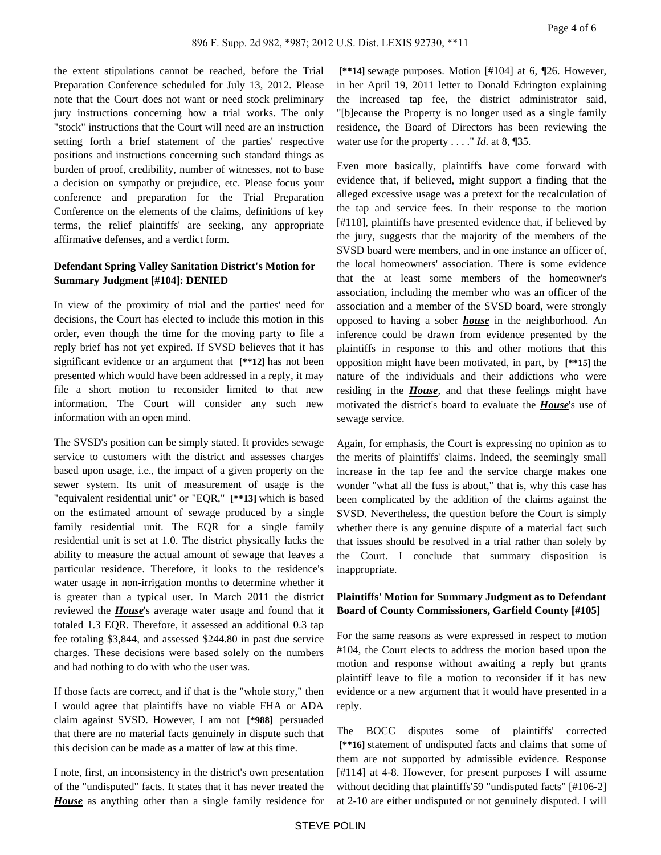the extent stipulations cannot be reached, before the Trial Preparation Conference scheduled for July 13, 2012. Please note that the Court does not want or need stock preliminary jury instructions concerning how a trial works. The only "stock" instructions that the Court will need are an instruction setting forth a brief statement of the parties' respective positions and instructions concerning such standard things as burden of proof, credibility, number of witnesses, not to base a decision on sympathy or prejudice, etc. Please focus your conference and preparation for the Trial Preparation Conference on the elements of the claims, definitions of key terms, the relief plaintiffs' are seeking, any appropriate affirmative defenses, and a verdict form.

## **Defendant Spring Valley Sanitation District's Motion for Summary Judgment [#104]: DENIED**

In view of the proximity of trial and the parties' need for decisions, the Court has elected to include this motion in this order, even though the time for the moving party to file a reply brief has not yet expired. If SVSD believes that it has significant evidence or an argument that **[\*\*12]** has not been presented which would have been addressed in a reply, it may file a short motion to reconsider limited to that new information. The Court will consider any such new information with an open mind.

The SVSD's position can be simply stated. It provides sewage service to customers with the district and assesses charges based upon usage, i.e., the impact of a given property on the sewer system. Its unit of measurement of usage is the "equivalent residential unit" or "EQR," **[\*\*13]** which is based on the estimated amount of sewage produced by a single family residential unit. The EQR for a single family residential unit is set at 1.0. The district physically lacks the ability to measure the actual amount of sewage that leaves a particular residence. Therefore, it looks to the residence's water usage in non-irrigation months to determine whether it is greater than a typical user. In March 2011 the district reviewed the *House*'s average water usage and found that it totaled 1.3 EQR. Therefore, it assessed an additional 0.3 tap fee totaling \$3,844, and assessed \$244.80 in past due service charges. These decisions were based solely on the numbers and had nothing to do with who the user was.

If those facts are correct, and if that is the "whole story," then I would agree that plaintiffs have no viable FHA or ADA claim against SVSD. However, I am not **[\*988]** persuaded that there are no material facts genuinely in dispute such that this decision can be made as a matter of law at this time.

I note, first, an inconsistency in the district's own presentation of the "undisputed" facts. It states that it has never treated the *House* as anything other than a single family residence for  **[\*\*14]** sewage purposes. Motion [#104] at 6, ¶26. However, in her April 19, 2011 letter to Donald Edrington explaining the increased tap fee, the district administrator said, "[b]ecause the Property is no longer used as a single family residence, the Board of Directors has been reviewing the water use for the property . . . ." *Id*. at 8, ¶35.

Even more basically, plaintiffs have come forward with evidence that, if believed, might support a finding that the alleged excessive usage was a pretext for the recalculation of the tap and service fees. In their response to the motion [#118], plaintiffs have presented evidence that, if believed by the jury, suggests that the majority of the members of the SVSD board were members, and in one instance an officer of, the local homeowners' association. There is some evidence that the at least some members of the homeowner's association, including the member who was an officer of the association and a member of the SVSD board, were strongly opposed to having a sober *house* in the neighborhood. An inference could be drawn from evidence presented by the plaintiffs in response to this and other motions that this opposition might have been motivated, in part, by **[\*\*15]** the nature of the individuals and their addictions who were residing in the *House*, and that these feelings might have motivated the district's board to evaluate the *House*'s use of sewage service.

Again, for emphasis, the Court is expressing no opinion as to the merits of plaintiffs' claims. Indeed, the seemingly small increase in the tap fee and the service charge makes one wonder "what all the fuss is about," that is, why this case has been complicated by the addition of the claims against the SVSD. Nevertheless, the question before the Court is simply whether there is any genuine dispute of a material fact such that issues should be resolved in a trial rather than solely by the Court. I conclude that summary disposition is inappropriate.

## **Plaintiffs' Motion for Summary Judgment as to Defendant Board of County Commissioners, Garfield County [#105]**

For the same reasons as were expressed in respect to motion #104, the Court elects to address the motion based upon the motion and response without awaiting a reply but grants plaintiff leave to file a motion to reconsider if it has new evidence or a new argument that it would have presented in a reply.

The BOCC disputes some of plaintiffs' corrected  **[\*\*16]** statement of undisputed facts and claims that some of them are not supported by admissible evidence. Response [#114] at 4-8. However, for present purposes I will assume without deciding that plaintiffs'59 "undisputed facts" [#106-2] at 2-10 are either undisputed or not genuinely disputed. I will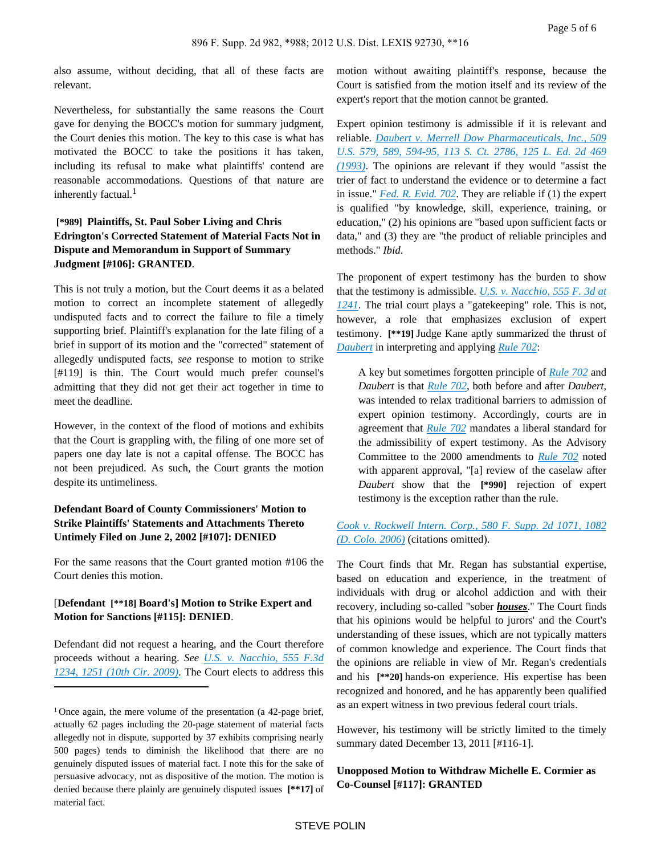also assume, without deciding, that all of these facts are relevant.

Nevertheless, for substantially the same reasons the Court gave for denying the BOCC's motion for summary judgment, the Court denies this motion. The key to this case is what has motivated the BOCC to take the positions it has taken, including its refusal to make what plaintiffs' contend are reasonable accommodations. Questions of that nature are inherently factual.<sup>1</sup>

## **[\*989] Plaintiffs, St. Paul Sober Living and Chris Edrington's Corrected Statement of Material Facts Not in Dispute and Memorandum in Support of Summary Judgment [#106]: GRANTED**.

This is not truly a motion, but the Court deems it as a belated motion to correct an incomplete statement of allegedly undisputed facts and to correct the failure to file a timely supporting brief. Plaintiff's explanation for the late filing of a brief in support of its motion and the "corrected" statement of allegedly undisputed facts, *see* response to motion to strike [#119] is thin. The Court would much prefer counsel's admitting that they did not get their act together in time to meet the deadline.

However, in the context of the flood of motions and exhibits that the Court is grappling with, the filing of one more set of papers one day late is not a capital offense. The BOCC has not been prejudiced. As such, the Court grants the motion despite its untimeliness.

## **Defendant Board of County Commissioners' Motion to Strike Plaintiffs' Statements and Attachments Thereto Untimely Filed on June 2, 2002 [#107]: DENIED**

For the same reasons that the Court granted motion #106 the Court denies this motion.

## [**Defendant [\*\*18] Board's] Motion to Strike Expert and Motion for Sanctions [#115]: DENIED**.

Defendant did not request a hearing, and the Court therefore proceeds without a hearing. *See [U.S. v. Nacchio, 555 F.3d](https://advance.lexis.com/api/document?collection=cases&id=urn:contentItem:7VFW-TM90-Y9NK-S0FR-00000-00&context=)  [1234, 1251 \(10th Cir. 2009\)](https://advance.lexis.com/api/document?collection=cases&id=urn:contentItem:7VFW-TM90-Y9NK-S0FR-00000-00&context=)*. The Court elects to address this motion without awaiting plaintiff's response, because the Court is satisfied from the motion itself and its review of the expert's report that the motion cannot be granted.

Expert opinion testimony is admissible if it is relevant and reliable. *[Daubert v. Merrell Dow Pharmaceuticals, Inc., 509](https://advance.lexis.com/api/document?collection=cases&id=urn:contentItem:3S4W-XDR0-003B-R3R6-00000-00&context=)  [U.S. 579, 589, 594-95, 113 S. Ct. 2786, 125 L. Ed. 2d 469](https://advance.lexis.com/api/document?collection=cases&id=urn:contentItem:3S4W-XDR0-003B-R3R6-00000-00&context=)  [\(1993\)](https://advance.lexis.com/api/document?collection=cases&id=urn:contentItem:3S4W-XDR0-003B-R3R6-00000-00&context=)*. The opinions are relevant if they would "assist the trier of fact to understand the evidence or to determine a fact in issue." *[Fed. R. Evid. 702](https://advance.lexis.com/api/document?collection=statutes-legislation&id=urn:contentItem:5GYC-2991-FG36-120S-00000-00&context=)*. They are reliable if (1) the expert is qualified "by knowledge, skill, experience, training, or education," (2) his opinions are "based upon sufficient facts or data," and (3) they are "the product of reliable principles and methods." *Ibid*.

The proponent of expert testimony has the burden to show that the testimony is admissible. *[U.S. v. Nacchio, 555 F. 3d at](https://advance.lexis.com/api/document?collection=cases&id=urn:contentItem:7VFW-TM90-Y9NK-S0FR-00000-00&context=)  [1241](https://advance.lexis.com/api/document?collection=cases&id=urn:contentItem:7VFW-TM90-Y9NK-S0FR-00000-00&context=)*. The trial court plays a "gatekeeping" role. This is not, however, a role that emphasizes exclusion of expert testimony. **[\*\*19]** Judge Kane aptly summarized the thrust of *[Daubert](https://advance.lexis.com/api/document?collection=cases&id=urn:contentItem:3S4W-XDR0-003B-R3R6-00000-00&context=)* in interpreting and applying *[Rule 702](https://advance.lexis.com/api/document?collection=statutes-legislation&id=urn:contentItem:5GYC-2991-FG36-120S-00000-00&context=)*:

A key but sometimes forgotten principle of *[Rule 702](https://advance.lexis.com/api/document?collection=statutes-legislation&id=urn:contentItem:5GYC-2991-FG36-120S-00000-00&context=)* and *Daubert* is that *[Rule 702](https://advance.lexis.com/api/document?collection=statutes-legislation&id=urn:contentItem:5GYC-2991-FG36-120S-00000-00&context=)*, both before and after *Daubert*, was intended to relax traditional barriers to admission of expert opinion testimony. Accordingly, courts are in agreement that *[Rule 702](https://advance.lexis.com/api/document?collection=statutes-legislation&id=urn:contentItem:5GYC-2991-FG36-120S-00000-00&context=)* mandates a liberal standard for the admissibility of expert testimony. As the Advisory Committee to the 2000 amendments to *[Rule 702](https://advance.lexis.com/api/document?collection=statutes-legislation&id=urn:contentItem:5GYC-2991-FG36-120S-00000-00&context=)* noted with apparent approval, "[a] review of the caselaw after *Daubert* show that the **[\*990]** rejection of expert testimony is the exception rather than the rule.

*[Cook v. Rockwell Intern. Corp., 580 F. Supp. 2d 1071, 1082](https://advance.lexis.com/api/document?collection=cases&id=urn:contentItem:4MJB-W4M0-TVSX-P35R-00000-00&context=)  [\(D. Colo. 2006\)](https://advance.lexis.com/api/document?collection=cases&id=urn:contentItem:4MJB-W4M0-TVSX-P35R-00000-00&context=)* (citations omitted).

The Court finds that Mr. Regan has substantial expertise, based on education and experience, in the treatment of individuals with drug or alcohol addiction and with their recovery, including so-called "sober *houses*." The Court finds that his opinions would be helpful to jurors' and the Court's understanding of these issues, which are not typically matters of common knowledge and experience. The Court finds that the opinions are reliable in view of Mr. Regan's credentials and his **[\*\*20]** hands-on experience. His expertise has been recognized and honored, and he has apparently been qualified as an expert witness in two previous federal court trials.

However, his testimony will be strictly limited to the timely summary dated December 13, 2011 [#116-1].

## **Unopposed Motion to Withdraw Michelle E. Cormier as Co-Counsel [#117]: GRANTED**

<sup>&</sup>lt;sup>1</sup> Once again, the mere volume of the presentation (a 42-page brief, actually 62 pages including the 20-page statement of material facts allegedly not in dispute, supported by 37 exhibits comprising nearly 500 pages) tends to diminish the likelihood that there are no genuinely disputed issues of material fact. I note this for the sake of persuasive advocacy, not as dispositive of the motion. The motion is denied because there plainly are genuinely disputed issues **[\*\*17]** of material fact.